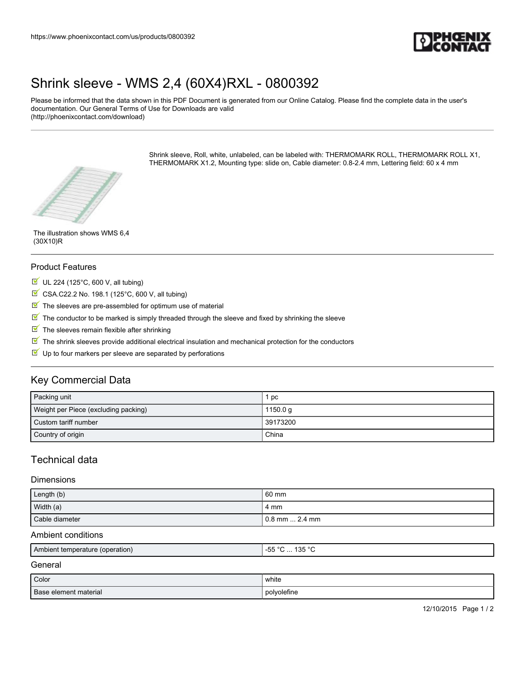

## [Shrink sleeve - WMS 2,4 \(60X4\)RXL - 0800392](https://www.phoenixcontact.com/us/products/0800392)

Please be informed that the data shown in this PDF Document is generated from our Online Catalog. Please find the complete data in the user's documentation. Our General Terms of Use for Downloads are valid (http://phoenixcontact.com/download)

> Shrink sleeve, Roll, white, unlabeled, can be labeled with: THERMOMARK ROLL, THERMOMARK ROLL X1, THERMOMARK X1.2, Mounting type: slide on, Cable diameter: 0.8-2.4 mm, Lettering field: 60 x 4 mm



The illustration shows WMS 6,4 (30X10)R

#### Product Features

- $U$  UL 224 (125°C, 600 V, all tubing)
- $\boxtimes$  CSA.C22.2 No. 198.1 (125°C, 600 V, all tubing)
- $\blacksquare$  The sleeves are pre-assembled for optimum use of material
- $\mathbb N$  The conductor to be marked is simply threaded through the sleeve and fixed by shrinking the sleeve
- $\blacksquare$  The sleeves remain flexible after shrinking
- The shrink sleeves provide additional electrical insulation and mechanical protection for the conductors
- $\blacksquare$  Up to four markers per sleeve are separated by perforations

## Key Commercial Data

| Packing unit                         | pc       |
|--------------------------------------|----------|
| Weight per Piece (excluding packing) | 1150.0 g |
| Custom tariff number                 | 39173200 |
| Country of origin                    | China    |

## Technical data

#### **Dimensions**

| Length (b)     | 60 mm            |
|----------------|------------------|
| Width (a)      | 4 mm             |
| Cable diameter | l 0.8 mm  2.4 mm |

#### Ambient conditions

| Ambient temperature (operation) | 125°<br>$ -$<br>$\sim$<br><u>.</u><br>ı JJ<br>טטי<br>. |
|---------------------------------|--------------------------------------------------------|
|                                 |                                                        |

## General

| Color                 | .<br>white<br>$\sim$ $\sim$ |
|-----------------------|-----------------------------|
| Base element material | polvoletine                 |